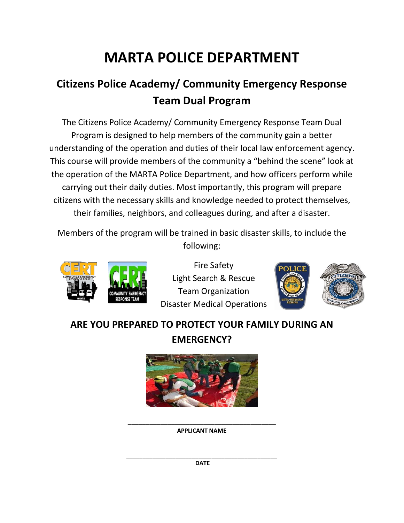# **MARTA POLICE DEPARTMENT**

## **Citizens Police Academy/ Community Emergency Response Team Dual Program**

The Citizens Police Academy/ Community Emergency Response Team Dual Program is designed to help members of the community gain a better understanding of the operation and duties of their local law enforcement agency. This course will provide members of the community a "behind the scene" look at the operation of the MARTA Police Department, and how officers perform while carrying out their daily duties. Most importantly, this program will prepare citizens with the necessary skills and knowledge needed to protect themselves, their families, neighbors, and colleagues during, and after a disaster.

Members of the program will be trained in basic disaster skills, to include the following:



Fire Safety Light Search & Rescue Team Organization Disaster Medical Operations



### **ARE YOU PREPARED TO PROTECT YOUR FAMILY DURING AN EMERGENCY?**



\_\_\_\_\_\_\_\_\_\_\_\_\_\_\_\_\_\_\_\_\_\_\_\_\_\_\_\_\_\_\_\_\_\_\_\_\_\_\_\_\_ **APPLICANT NAME**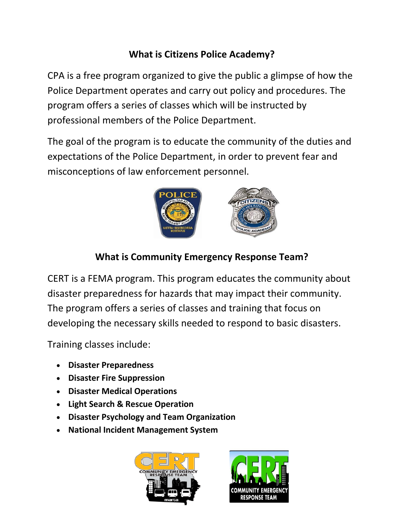### **What is Citizens Police Academy?**

CPA is a free program organized to give the public a glimpse of how the Police Department operates and carry out policy and procedures. The program offers a series of classes which will be instructed by professional members of the Police Department.

The goal of the program is to educate the community of the duties and expectations of the Police Department, in order to prevent fear and misconceptions of law enforcement personnel.



### **What is Community Emergency Response Team?**

CERT is a FEMA program. This program educates the community about disaster preparedness for hazards that may impact their community. The program offers a series of classes and training that focus on developing the necessary skills needed to respond to basic disasters.

Training classes include:

- **Disaster Preparedness**
- **Disaster Fire Suppression**
- **Disaster Medical Operations**
- **Light Search & Rescue Operation**
- **Disaster Psychology and Team Organization**
- **National Incident Management System**



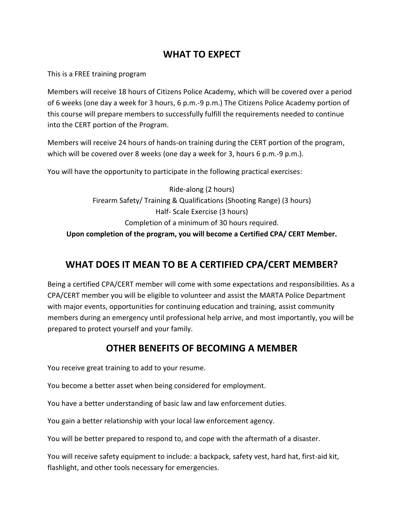#### **WHAT TO EXPECT**

This is a FREE training program

Members will receive 18 hours of Citizens Police Academy, which will be covered over a period of 6 weeks (one day a week for 3 hours, 6 p.m.-9 p.m.) The Citizens Police Academy portion of this course will prepare members to successfully fulfill the requirements needed to continue into the CERT portion of the Program.

Members will receive 24 hours of hands-on training during the CERT portion of the program, which will be covered over 8 weeks (one day a week for 3, hours 6 p.m.-9 p.m.).

You will have the opportunity to participate in the following practical exercises:

Ride-along (2 hours) Firearm Safety/ Training & Qualifications (Shooting Range) (3 hours) Half- Scale Exercise (3 hours) Completion of a minimum of 30 hours required. **Upon completion of the program, you will become a Certified CPA/ CERT Member.**

#### **WHAT DOES IT MEAN TO BE A CERTIFIED CPA/CERT MEMBER?**

Being a certified CPA/CERT member will come with some expectations and responsibilities. As a CPA/CERT member you will be eligible to volunteer and assist the MARTA Police Department with major events, opportunities for continuing education and training, assist community members during an emergency until professional help arrive, and most importantly, you will be prepared to protect yourself and your family.

#### **OTHER BENEFITS OF BECOMING A MEMBER**

You receive great training to add to your resume.

You become a better asset when being considered for employment.

You have a better understanding of basic law and law enforcement duties.

You gain a better relationship with your local law enforcement agency.

You will be better prepared to respond to, and cope with the aftermath of a disaster.

You will receive safety equipment to include: a backpack, safety vest, hard hat, first-aid kit, flashlight, and other tools necessary for emergencies.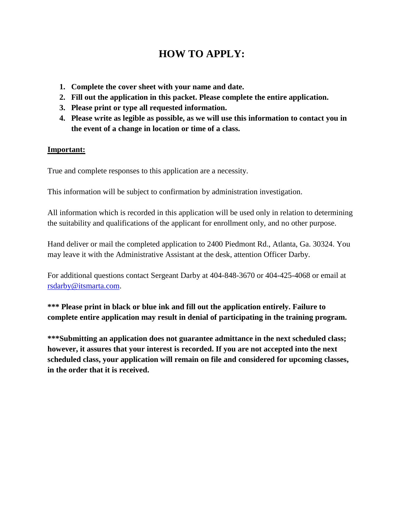#### **HOW TO APPLY:**

- **1. Complete the cover sheet with your name and date.**
- **2. Fill out the application in this packet. Please complete the entire application.**
- **3. Please print or type all requested information.**
- **4. Please write as legible as possible, as we will use this information to contact you in the event of a change in location or time of a class.**

#### **Important:**

True and complete responses to this application are a necessity.

This information will be subject to confirmation by administration investigation.

All information which is recorded in this application will be used only in relation to determining the suitability and qualifications of the applicant for enrollment only, and no other purpose.

Hand deliver or mail the completed application to 2400 Piedmont Rd., Atlanta, Ga. 30324. You may leave it with the Administrative Assistant at the desk, attention Officer Darby.

For additional questions contact Sergeant Darby at 404-848-3670 or 404-425-4068 or email at [rsdarby@itsmarta.com.](mailto:rsdarby@itsmarta.com)

**\*\*\* Please print in black or blue ink and fill out the application entirely. Failure to complete entire application may result in denial of participating in the training program.** 

**\*\*\*Submitting an application does not guarantee admittance in the next scheduled class; however, it assures that your interest is recorded. If you are not accepted into the next scheduled class, your application will remain on file and considered for upcoming classes, in the order that it is received.**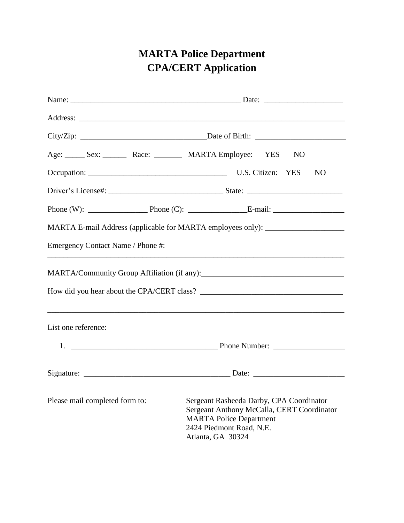### **MARTA Police Department CPA/CERT Application**

|                                   | N <sub>O</sub>                                                                                                                                                            |
|-----------------------------------|---------------------------------------------------------------------------------------------------------------------------------------------------------------------------|
|                                   | <b>NO</b>                                                                                                                                                                 |
|                                   |                                                                                                                                                                           |
|                                   | Phone (W): $\qquad \qquad$ Phone (C): $\qquad \qquad$ E-mail:                                                                                                             |
|                                   | MARTA E-mail Address (applicable for MARTA employees only): ____________________                                                                                          |
| Emergency Contact Name / Phone #: | and the control of the control of the control of the control of the control of the control of the control of the                                                          |
|                                   |                                                                                                                                                                           |
|                                   |                                                                                                                                                                           |
| List one reference:               |                                                                                                                                                                           |
|                                   | 1. Phone Number:                                                                                                                                                          |
|                                   |                                                                                                                                                                           |
| Please mail completed form to:    | Sergeant Rasheeda Darby, CPA Coordinator<br>Sergeant Anthony McCalla, CERT Coordinator<br><b>MARTA Police Department</b><br>2424 Piedmont Road, N.E.<br>Atlanta, GA 30324 |